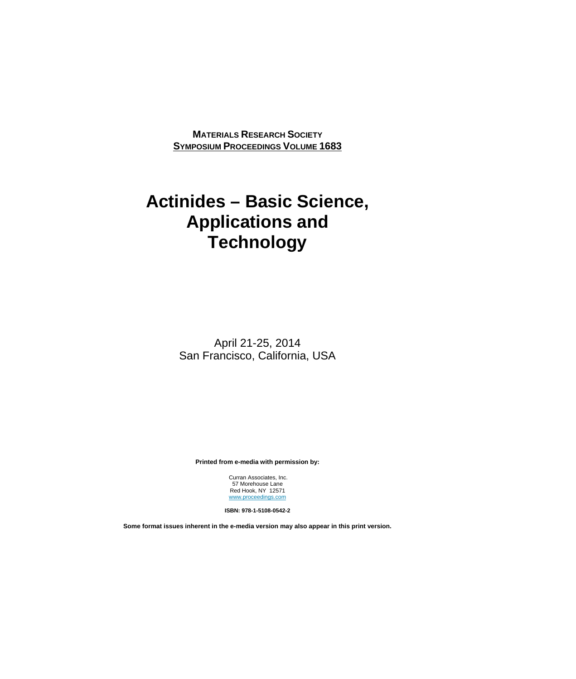**MATERIALS RESEARCH SOCIETY SYMPOSIUM PROCEEDINGS VOLUME 1683**

## **Actinides – Basic Science, Applications and Technology**

April 21-25, 2014 San Francisco, California, USA

**Printed from e-media with permission by:** 

 Curran Associates, Inc. 57 Morehouse Lane Red Hook, NY 12571 www.proceedings.com

**ISBN: 978-1-5108-0542-2** 

**Some format issues inherent in the e-media version may also appear in this print version.**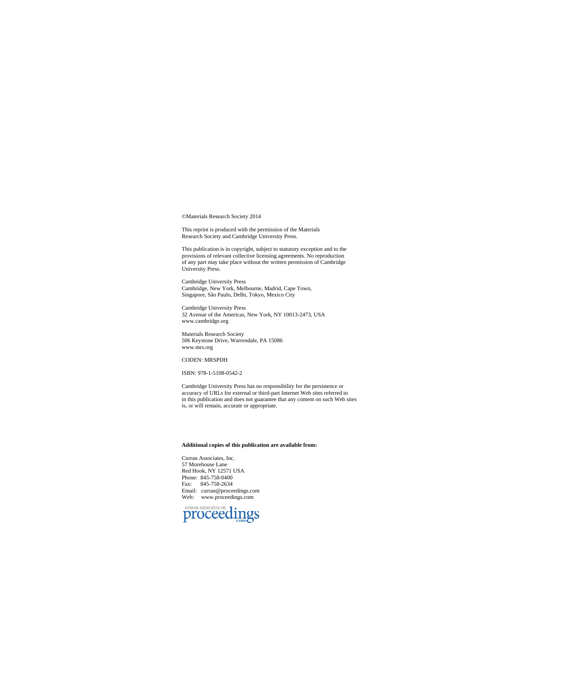©Materials Research Society 2014

This reprint is produced with the permission of the Materials Research Society and Cambridge University Press.

This publication is in copyright, subject to statutory exception and to the provisions of relevant collective licensing agreements. No reproduction of any part may take place without the written permission of Cambridge Uni

Cambridge University Press Cambridge, New York, Melbourne, Madrid, Cape Town, Singapore, São Paulo, Delhi, Tokyo, Mexico City

Cambridge University Press 32 Avenue of the Americas, New York, NY 10013-2473, USA www.cambridge.org

Materials Research Society 506 Keystone Drive, Warrendale, PA 15086 www.mrs.org

## CODEN: MRSPDH

ISBN: 978-1-5108-0542-2

Cambridge University Press has no responsibility for the persistence or accuracy of URLs for external or third-part Internet Web sites referred to in this publication and does not guarantee that any content on such Web sites is, or will remain, accurate or appropriate.

## **Additional copies of this publication are available from:**

Curran Associates, Inc. 57 Morehouse Lane Red Hook, NY 12571 USA Phone: 845-758-0400 Fax: 845-758-2634 Email: curran@proceedings.com Web: www.proceedings.com